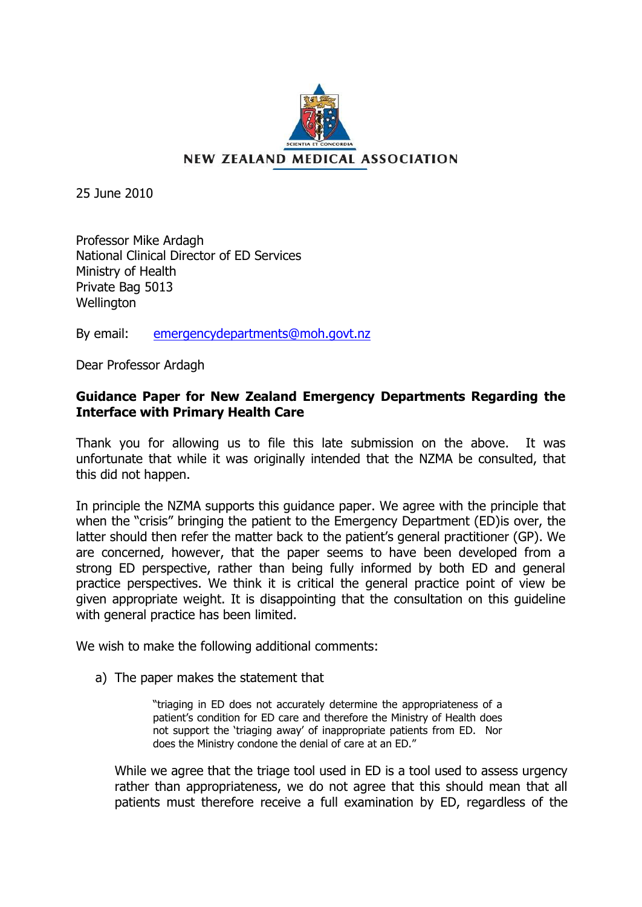

25 June 2010

Professor Mike Ardagh National Clinical Director of ED Services Ministry of Health Private Bag 5013 Wellington

By email: [emergencydepartments@moh.govt.nz](mailto:emergencydepartments@moh.govt.nz)

Dear Professor Ardagh

## **Guidance Paper for New Zealand Emergency Departments Regarding the Interface with Primary Health Care**

Thank you for allowing us to file this late submission on the above. It was unfortunate that while it was originally intended that the NZMA be consulted, that this did not happen.

In principle the NZMA supports this guidance paper. We agree with the principle that when the "crisis" bringing the patient to the Emergency Department (ED)is over, the latter should then refer the matter back to the patient's general practitioner (GP). We are concerned, however, that the paper seems to have been developed from a strong ED perspective, rather than being fully informed by both ED and general practice perspectives. We think it is critical the general practice point of view be given appropriate weight. It is disappointing that the consultation on this guideline with general practice has been limited.

We wish to make the following additional comments:

a) The paper makes the statement that

"triaging in ED does not accurately determine the appropriateness of a patient's condition for ED care and therefore the Ministry of Health does not support the "triaging away" of inappropriate patients from ED. Nor does the Ministry condone the denial of care at an ED."

While we agree that the triage tool used in ED is a tool used to assess urgency rather than appropriateness, we do not agree that this should mean that all patients must therefore receive a full examination by ED, regardless of the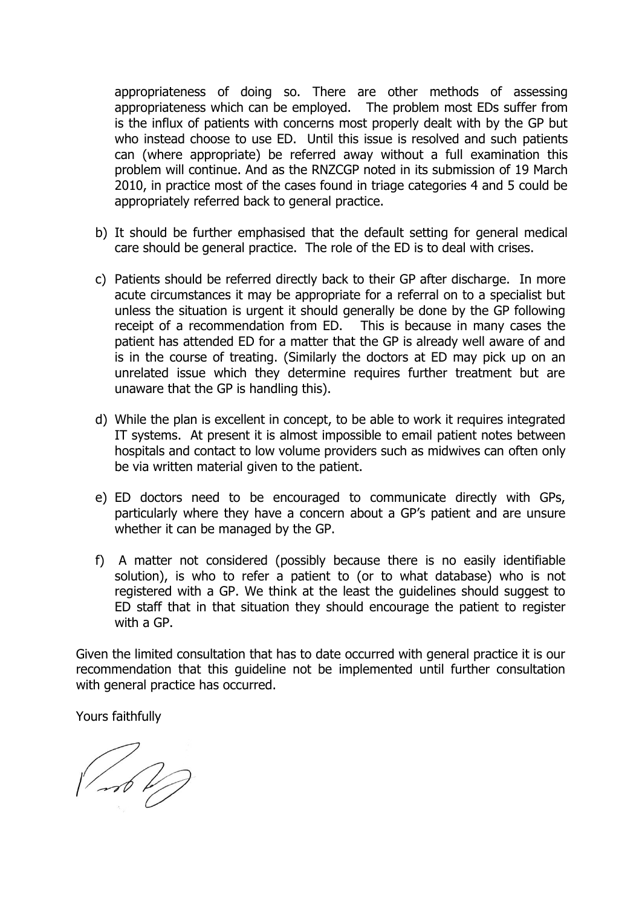appropriateness of doing so. There are other methods of assessing appropriateness which can be employed. The problem most EDs suffer from is the influx of patients with concerns most properly dealt with by the GP but who instead choose to use ED. Until this issue is resolved and such patients can (where appropriate) be referred away without a full examination this problem will continue. And as the RNZCGP noted in its submission of 19 March 2010, in practice most of the cases found in triage categories 4 and 5 could be appropriately referred back to general practice.

- b) It should be further emphasised that the default setting for general medical care should be general practice. The role of the ED is to deal with crises.
- c) Patients should be referred directly back to their GP after discharge. In more acute circumstances it may be appropriate for a referral on to a specialist but unless the situation is urgent it should generally be done by the GP following receipt of a recommendation from ED. This is because in many cases the patient has attended ED for a matter that the GP is already well aware of and is in the course of treating. (Similarly the doctors at ED may pick up on an unrelated issue which they determine requires further treatment but are unaware that the GP is handling this).
- d) While the plan is excellent in concept, to be able to work it requires integrated IT systems. At present it is almost impossible to email patient notes between hospitals and contact to low volume providers such as midwives can often only be via written material given to the patient.
- e) ED doctors need to be encouraged to communicate directly with GPs, particularly where they have a concern about a GP"s patient and are unsure whether it can be managed by the GP.
- f) A matter not considered (possibly because there is no easily identifiable solution), is who to refer a patient to (or to what database) who is not registered with a GP. We think at the least the guidelines should suggest to ED staff that in that situation they should encourage the patient to register with a GP.

Given the limited consultation that has to date occurred with general practice it is our recommendation that this guideline not be implemented until further consultation with general practice has occurred.

Yours faithfully

 $\sqrt{\sqrt{2}}$